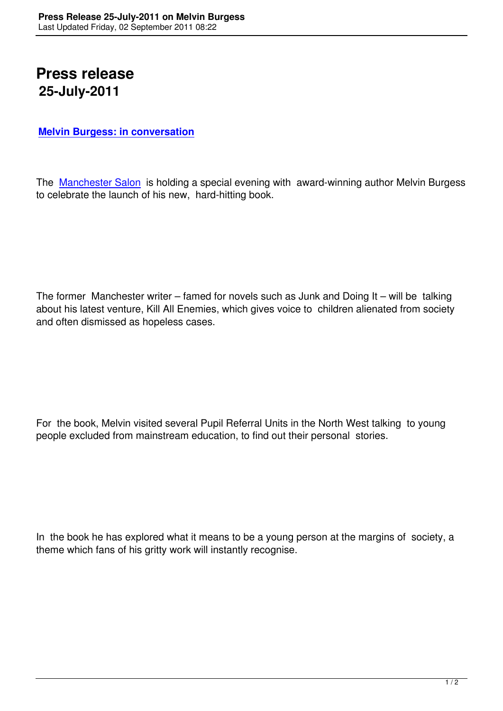## **Press release 25-July-2011**

## **Melvin Burgess: in conversation**

[The Manchester Salon is holding a](kill-all-enemies-melvin-burgess-interview.html) special evening with award-winning author Melvin Burgess to celebrate the launch of his new, hard-hitting book.

The former Manchester writer – famed for novels such as Junk and Doing It – will be talking about his latest venture, Kill All Enemies, which gives voice to children alienated from society and often dismissed as hopeless cases.

For the book, Melvin visited several Pupil Referral Units in the North West talking to young people excluded from mainstream education, to find out their personal stories.

In the book he has explored what it means to be a young person at the margins of society, a theme which fans of his gritty work will instantly recognise.